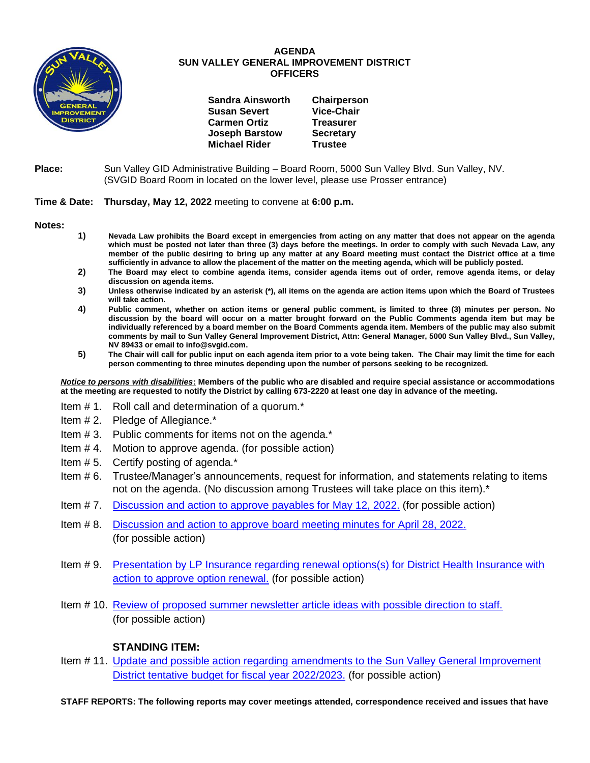

## **AGENDA SUN VALLEY GENERAL IMPROVEMENT DISTRICT OFFICERS**

| <b>Sandra Ainsworth</b> | Chairperson       |
|-------------------------|-------------------|
| <b>Susan Severt</b>     | <b>Vice-Chair</b> |
| <b>Carmen Ortiz</b>     | <b>Treasurer</b>  |
| <b>Joseph Barstow</b>   | <b>Secretary</b>  |
| <b>Michael Rider</b>    | <b>Trustee</b>    |

## **Place:** Sun Valley GID Administrative Building – Board Room, 5000 Sun Valley Blvd. Sun Valley, NV. (SVGID Board Room in located on the lower level, please use Prosser entrance)

## **Time & Date: Thursday, May 12, 2022** meeting to convene at **6:00 p.m.**

**Notes:**

- **1) Nevada Law prohibits the Board except in emergencies from acting on any matter that does not appear on the agenda which must be posted not later than three (3) days before the meetings. In order to comply with such Nevada Law, any member of the public desiring to bring up any matter at any Board meeting must contact the District office at a time sufficiently in advance to allow the placement of the matter on the meeting agenda, which will be publicly posted.**
- **2) The Board may elect to combine agenda items, consider agenda items out of order, remove agenda items, or delay discussion on agenda items.**
- **3) Unless otherwise indicated by an asterisk (\*), all items on the agenda are action items upon which the Board of Trustees will take action.**
- **4) Public comment, whether on action items or general public comment, is limited to three (3) minutes per person. No discussion by the board will occur on a matter brought forward on the Public Comments agenda item but may be individually referenced by a board member on the Board Comments agenda item. Members of the public may also submit comments by mail to Sun Valley General Improvement District, Attn: General Manager, 5000 Sun Valley Blvd., Sun Valley, NV 89433 or email to info@svgid.com.**
- **5) The Chair will call for public input on each agenda item prior to a vote being taken. The Chair may limit the time for each person commenting to three minutes depending upon the number of persons seeking to be recognized.**

*Notice to persons with disabilities***: Members of the public who are disabled and require special assistance or accommodations at the meeting are requested to notify the District by calling 673-2220 at least one day in advance of the meeting.**

- Item # 1. Roll call and determination of a quorum.\*
- Item # 2. Pledge of Allegiance.\*
- Item # 3. Public comments for items not on the agenda.\*
- Item # 4. Motion to approve agenda. (for possible action)
- Item # 5. Certify posting of agenda.\*
- Item # 6. Trustee/Manager's announcements, request for information, and statements relating to items not on the agenda. (No discussion among Trustees will take place on this item).\*
- Item # 7. [Discussion and action to approve payables](https://www.svgid.com/wp-content/uploads/051222_AgendaItem07.pdf) for May 12, 2022. (for possible action)
- Item # 8. [Discussion and action to approve board meeting minutes for](https://www.svgid.com/wp-content/uploads/051222_AgendaItem08.pdf) April 28, 2022. (for possible action)
- Item # 9. [Presentation by LP Insurance regarding renewal options\(s\) for District Health Insurance with](https://www.svgid.com/wp-content/uploads/051222_AgendaItem09.pdf)  [action to approve option renewal.](https://www.svgid.com/wp-content/uploads/051222_AgendaItem09.pdf) (for possible action)
- Item # 10. [Review of proposed summer newsletter article ideas with possible direction to staff.](https://www.svgid.com/wp-content/uploads/051222_AgendaItem10.pdf) (for possible action)

## **STANDING ITEM:**

Item # 11. Update and possible action regarding [amendments to the Sun Valley General Improvement](https://www.svgid.com/wp-content/uploads/051222_AgendaItem11.pdf)  [District tentative budget for fiscal year 2022/2023.](https://www.svgid.com/wp-content/uploads/051222_AgendaItem11.pdf) (for possible action)

**STAFF REPORTS: The following reports may cover meetings attended, correspondence received and issues that have**